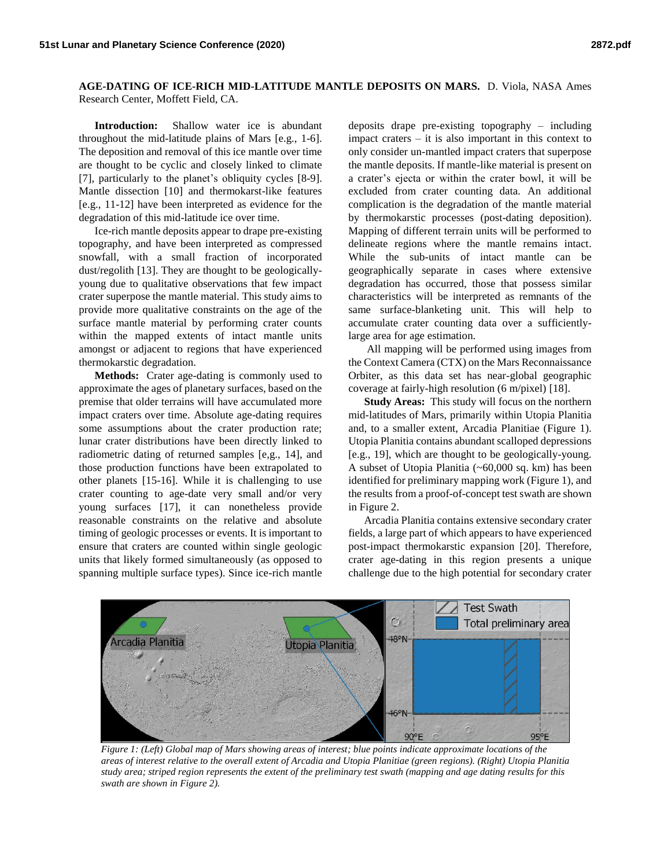## **AGE-DATING OF ICE-RICH MID-LATITUDE MANTLE DEPOSITS ON MARS.** D. Viola, NASA Ames Research Center, Moffett Field, CA.

**Introduction:** Shallow water ice is abundant throughout the mid-latitude plains of Mars [e.g., 1-6]. The deposition and removal of this ice mantle over time are thought to be cyclic and closely linked to climate [7], particularly to the planet's obliquity cycles [8-9]. Mantle dissection [10] and thermokarst-like features [e.g., 11-12] have been interpreted as evidence for the degradation of this mid-latitude ice over time.

Ice-rich mantle deposits appear to drape pre-existing topography, and have been interpreted as compressed snowfall, with a small fraction of incorporated dust/regolith [13]. They are thought to be geologicallyyoung due to qualitative observations that few impact crater superpose the mantle material. This study aims to provide more qualitative constraints on the age of the surface mantle material by performing crater counts within the mapped extents of intact mantle units amongst or adjacent to regions that have experienced thermokarstic degradation.

**Methods:** Crater age-dating is commonly used to approximate the ages of planetary surfaces, based on the premise that older terrains will have accumulated more impact craters over time. Absolute age-dating requires some assumptions about the crater production rate; lunar crater distributions have been directly linked to radiometric dating of returned samples [e,g., 14], and those production functions have been extrapolated to other planets [15-16]. While it is challenging to use crater counting to age-date very small and/or very young surfaces [17], it can nonetheless provide reasonable constraints on the relative and absolute timing of geologic processes or events. It is important to ensure that craters are counted within single geologic units that likely formed simultaneously (as opposed to spanning multiple surface types). Since ice-rich mantle

deposits drape pre-existing topography – including impact craters – it is also important in this context to only consider un-mantled impact craters that superpose the mantle deposits. If mantle-like material is present on a crater's ejecta or within the crater bowl, it will be excluded from crater counting data. An additional complication is the degradation of the mantle material by thermokarstic processes (post-dating deposition). Mapping of different terrain units will be performed to delineate regions where the mantle remains intact. While the sub-units of intact mantle can be geographically separate in cases where extensive degradation has occurred, those that possess similar characteristics will be interpreted as remnants of the same surface-blanketing unit. This will help to accumulate crater counting data over a sufficientlylarge area for age estimation.

All mapping will be performed using images from the Context Camera (CTX) on the Mars Reconnaissance Orbiter, as this data set has near-global geographic coverage at fairly-high resolution (6 m/pixel) [18].

**Study Areas:** This study will focus on the northern mid-latitudes of Mars, primarily within Utopia Planitia and, to a smaller extent, Arcadia Planitiae (Figure 1). Utopia Planitia contains abundant scalloped depressions [e.g., 19], which are thought to be geologically-young. A subset of Utopia Planitia (~60,000 sq. km) has been identified for preliminary mapping work (Figure 1), and the results from a proof-of-concept test swath are shown in Figure 2.

Arcadia Planitia contains extensive secondary crater fields, a large part of which appears to have experienced post-impact thermokarstic expansion [20]. Therefore, crater age-dating in this region presents a unique challenge due to the high potential for secondary crater



*Figure 1: (Left) Global map of Mars showing areas of interest; blue points indicate approximate locations of the areas of interest relative to the overall extent of Arcadia and Utopia Planitiae (green regions). (Right) Utopia Planitia study area; striped region represents the extent of the preliminary test swath (mapping and age dating results for this swath are shown in Figure 2).*